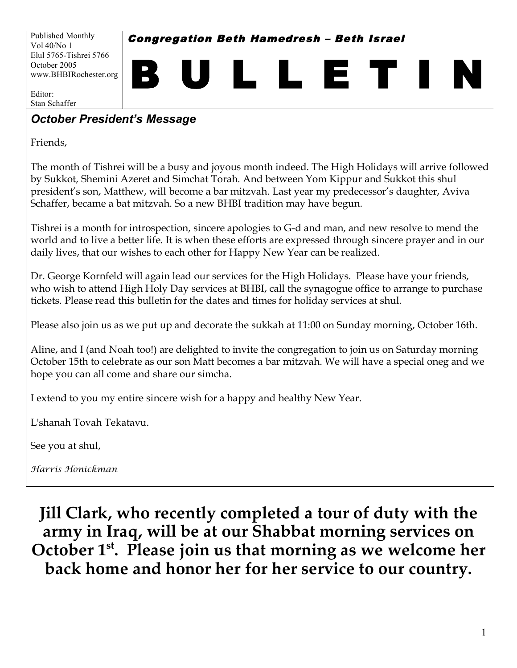Congregation Beth Hamedresh – Beth Israel

L L E T I I

Published Monthly Vol 40/No 1 Elul 5765-Tishrei 5766 October 2005 www.BHBIRochester.org

Editor: Stan Schaffer

# *October President's Message*

Friends,

The month of Tishrei will be a busy and joyous month indeed. The High Holidays will arrive followed by Sukkot, Shemini Azeret and Simchat Torah. And between Yom Kippur and Sukkot this shul president's son, Matthew, will become a bar mitzvah. Last year my predecessor's daughter, Aviva Schaffer, became a bat mitzvah. So a new BHBI tradition may have begun.

Tishrei is a month for introspection, sincere apologies to G-d and man, and new resolve to mend the world and to live a better life. It is when these efforts are expressed through sincere prayer and in our daily lives, that our wishes to each other for Happy New Year can be realized.

Dr. George Kornfeld will again lead our services for the High Holidays. Please have your friends, who wish to attend High Holy Day services at BHBI, call the synagogue office to arrange to purchase tickets. Please read this bulletin for the dates and times for holiday services at shul.

Please also join us as we put up and decorate the sukkah at 11:00 on Sunday morning, October 16th.

Aline, and I (and Noah too!) are delighted to invite the congregation to join us on Saturday morning October 15th to celebrate as our son Matt becomes a bar mitzvah. We will have a special oneg and we hope you can all come and share our simcha.

I extend to you my entire sincere wish for a happy and healthy New Year.

L'shanah Tovah Tekatavu.

See you at shul,

*Harris Honickman*

**Jill Clark, who recently completed a tour of duty with the army in Iraq, will be at our Shabbat morning services on October 1st . Please join us that morning as we welcome her back home and honor her for her service to our country.**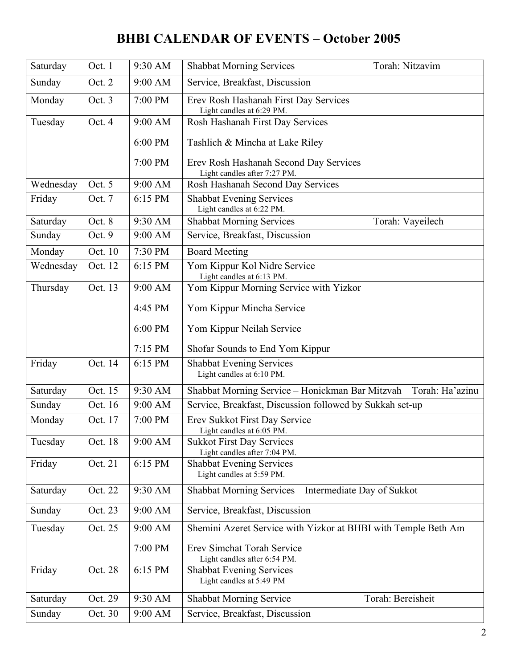# **BHBI CALENDAR OF EVENTS – October 2005**

| Saturday  | Oct. 1  | 9:30 AM | <b>Shabbat Morning Services</b>                                        | Torah: Nitzavim   |
|-----------|---------|---------|------------------------------------------------------------------------|-------------------|
| Sunday    | Oct. 2  | 9:00 AM | Service, Breakfast, Discussion                                         |                   |
| Monday    | Oct. 3  | 7:00 PM | Erev Rosh Hashanah First Day Services<br>Light candles at 6:29 PM.     |                   |
| Tuesday   | Oct. 4  | 9:00 AM | Rosh Hashanah First Day Services                                       |                   |
|           |         | 6:00 PM | Tashlich & Mincha at Lake Riley                                        |                   |
|           |         | 7:00 PM | Erev Rosh Hashanah Second Day Services<br>Light candles after 7:27 PM. |                   |
| Wednesday | Oct. 5  | 9:00 AM | Rosh Hashanah Second Day Services                                      |                   |
| Friday    | Oct. 7  | 6:15 PM | <b>Shabbat Evening Services</b><br>Light candles at 6:22 PM.           |                   |
| Saturday  | Oct. 8  | 9:30 AM | <b>Shabbat Morning Services</b>                                        | Torah: Vayeilech  |
| Sunday    | Oct. 9  | 9:00 AM | Service, Breakfast, Discussion                                         |                   |
| Monday    | Oct. 10 | 7:30 PM | <b>Board Meeting</b>                                                   |                   |
| Wednesday | Oct. 12 | 6:15 PM | Yom Kippur Kol Nidre Service<br>Light candles at 6:13 PM.              |                   |
| Thursday  | Oct. 13 | 9:00 AM | Yom Kippur Morning Service with Yizkor                                 |                   |
|           |         | 4:45 PM | Yom Kippur Mincha Service                                              |                   |
|           |         | 6:00 PM | Yom Kippur Neilah Service                                              |                   |
|           |         | 7:15 PM | Shofar Sounds to End Yom Kippur                                        |                   |
| Friday    | Oct. 14 | 6:15 PM | <b>Shabbat Evening Services</b><br>Light candles at 6:10 PM.           |                   |
| Saturday  | Oct. 15 | 9:30 AM | Shabbat Morning Service - Honickman Bar Mitzvah                        | Torah: Ha'azinu   |
| Sunday    | Oct. 16 | 9:00 AM | Service, Breakfast, Discussion followed by Sukkah set-up               |                   |
| Monday    | Oct. 17 | 7:00 PM | Erev Sukkot First Day Service<br>Light candles at 6:05 PM.             |                   |
| Tuesday   | Oct. 18 | 9:00 AM | <b>Sukkot First Day Services</b><br>Light candles after 7:04 PM.       |                   |
| Friday    | Oct. 21 | 6:15 PM | <b>Shabbat Evening Services</b><br>Light candles at 5:59 PM.           |                   |
| Saturday  | Oct. 22 | 9:30 AM | Shabbat Morning Services - Intermediate Day of Sukkot                  |                   |
| Sunday    | Oct. 23 | 9:00 AM | Service, Breakfast, Discussion                                         |                   |
| Tuesday   | Oct. 25 | 9:00 AM | Shemini Azeret Service with Yizkor at BHBI with Temple Beth Am         |                   |
|           |         | 7:00 PM | Erev Simchat Torah Service<br>Light candles after 6:54 PM.             |                   |
| Friday    | Oct. 28 | 6:15 PM | <b>Shabbat Evening Services</b><br>Light candles at 5:49 PM            |                   |
| Saturday  | Oct. 29 | 9:30 AM | Shabbat Morning Service                                                | Torah: Bereisheit |
| Sunday    | Oct. 30 | 9:00 AM | Service, Breakfast, Discussion                                         |                   |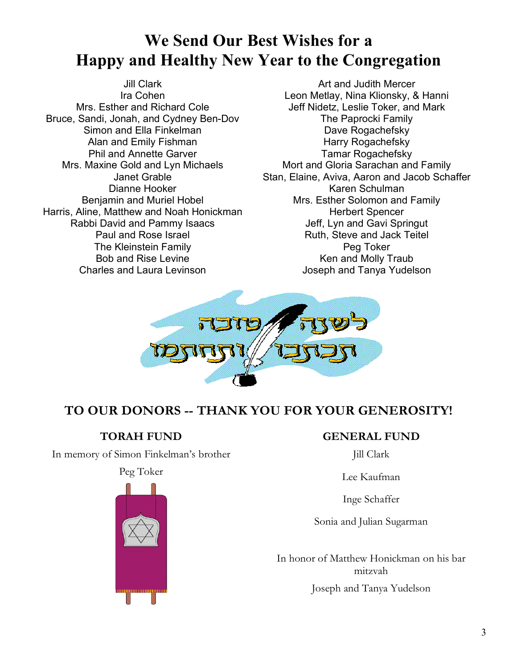# **We Send Our Best Wishes for a Happy and Healthy New Year to the Congregation**

Bruce, Sandi, Jonah, and Cydney Ben-Dov The Paprocki Family Simon and Ella Finkelman **Dave Rogachefsky** Alan and Emily Fishman Harry Rogachefsky Phil and Annette Garver Tamar Rogachefsky Harris, Aline, Matthew and Noah Honickman **Herbert Spencer** Herbert Spencer Rabbi David and Pammy Isaacs Jeff, Lyn and Gavi Springut The Kleinstein Family **Peg Toker** Peg Toker

Jill Clark **Art and Judith Mercer** Ira Cohen Leon Metlay, Nina Klionsky, & Hanni Mrs. Esther and Richard Cole Jeff Nidetz, Leslie Toker, and Mark Mrs. Maxine Gold and Lyn Michaels Mort and Gloria Sarachan and Family Janet Grable Stan, Elaine, Aviva, Aaron and Jacob Schaffer Dianne Hooker National Schulman Karen Schulman Benjamin and Muriel Hobel Music Mrs. Esther Solomon and Family Paul and Rose Israel **Ruth**, Steve and Jack Teitel Bob and Rise Levine **Ken** and Molly Traub Charles and Laura Levinson **Charles and Laura Levinson** Joseph and Tanya Yudelson



## **TO OUR DONORS -- THANK YOU FOR YOUR GENEROSITY!**

#### **TORAH FUND**

In memory of Simon Finkelman's brother

Peg Toker



#### **GENERAL FUND**

Jill Clark

Lee Kaufman

Inge Schaffer

Sonia and Julian Sugarman

In honor of Matthew Honickman on his bar mitzvah Joseph and Tanya Yudelson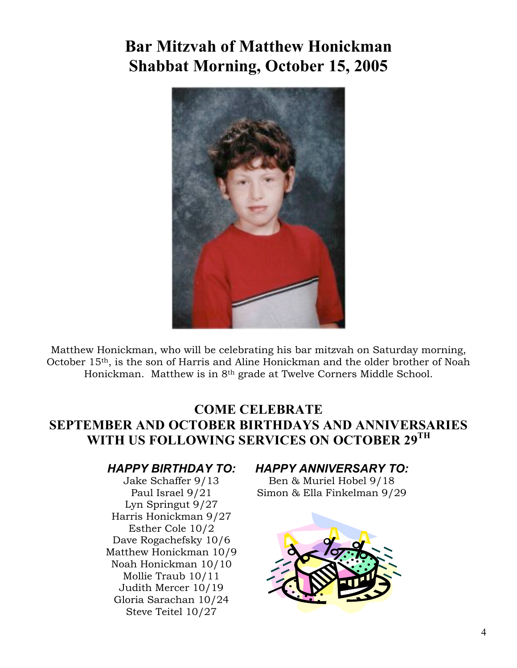# **Bar Mitzvah of Matthew Honickman Shabbat Morning, October 15, 2005**



Matthew Honickman, who will be celebrating his bar mitzvah on Saturday morning, October 15th, is the son of Harris and Aline Honickman and the older brother of Noah Honickman. Matthew is in 8th grade at Twelve Corners Middle School.

## **COME CELEBRATE SEPTEMBER AND OCTOBER BIRTHDAYS AND ANNIVERSARIES WITH US FOLLOWING SERVICES ON OCTOBER 29TH**

#### *HAPPY BIRTHDAY TO:*

Jake Schaffer 9/13 Paul Israel 9/21 Lyn Springut 9/27 Harris Honickman 9/27 Esther Cole 10/2 Dave Rogachefsky 10/6 Matthew Honickman 10/9 Noah Honickman 10/10 Mollie Traub 10/11 Judith Mercer 10/19 Gloria Sarachan 10/24 Steve Teitel 10/27

#### *HAPPY ANNIVERSARY TO:*

Ben & Muriel Hobel 9/18 Simon & Ella Finkelman 9/29

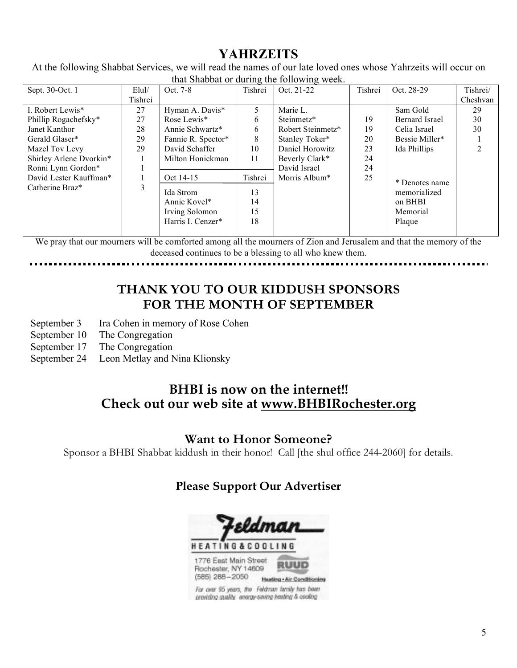# **YAHRZEITS**

At the following Shabbat Services, we will read the names of our late loved ones whose Yahrzeits will occur on that Shabbat or during the following week.

| Sept. 30-Oct. 1         | E <sub>l</sub> | Oct. 7-8                                                         | Tishrei              | Oct. 21-22        | Tishrei | Oct. 28-29                                                      | Tishrei/ |
|-------------------------|----------------|------------------------------------------------------------------|----------------------|-------------------|---------|-----------------------------------------------------------------|----------|
|                         | Tishrei        |                                                                  |                      |                   |         |                                                                 | Cheshvan |
| I. Robert Lewis*        | 27             | Hyman A. Davis*                                                  | 5                    | Marie L.          |         | Sam Gold                                                        | 29       |
| Phillip Rogachefsky*    | 27             | Rose Lewis*                                                      | 6                    | Steinmetz*        | 19      | <b>Bernard Israel</b>                                           | 30       |
| Janet Kanthor           | 28             | Annie Schwartz*                                                  | 6                    | Robert Steinmetz* | 19      | Celia Israel                                                    | 30       |
| Gerald Glaser*          | 29             | Fannie R. Spector*                                               | 8                    | Stanley Toker*    | 20      | Bessie Miller*                                                  |          |
| Mazel Tov Levy          | 29             | David Schaffer                                                   | 10                   | Daniel Horowitz   | 23      | Ida Phillips                                                    |          |
| Shirley Arlene Dvorkin* |                | Milton Honickman                                                 | 11                   | Beverly Clark*    | 24      |                                                                 |          |
| Ronni Lynn Gordon*      |                |                                                                  |                      | David Israel      | 24      |                                                                 |          |
| David Lester Kauffman*  |                | Oct 14-15                                                        | Tishrei              | Morris Album*     | 25      |                                                                 |          |
| Catherine Braz*         | 3              | Ida Strom<br>Annie Kovel*<br>Irving Solomon<br>Harris I. Cenzer* | 13<br>14<br>15<br>18 |                   |         | * Denotes name<br>memorialized<br>on BHBI<br>Memorial<br>Plaque |          |

We pray that our mourners will be comforted among all the mourners of Zion and Jerusalem and that the memory of the deceased continues to be a blessing to all who knew them.

## **THANK YOU TO OUR KIDDUSH SPONSORS FOR THE MONTH OF SEPTEMBER**

- September 3 Ira Cohen in memory of Rose Cohen
- September 10 The Congregation
- September 17 The Congregation
- September 24 Leon Metlay and Nina Klionsky

### **BHBI is now on the internet!! Check out our web site at www.BHBIRochester.org**

#### **Want to Honor Someone?**

Sponsor a BHBI Shabbat kiddush in their honor! Call [the shul office 244-2060] for details.

### **Please Support Our Advertiser**